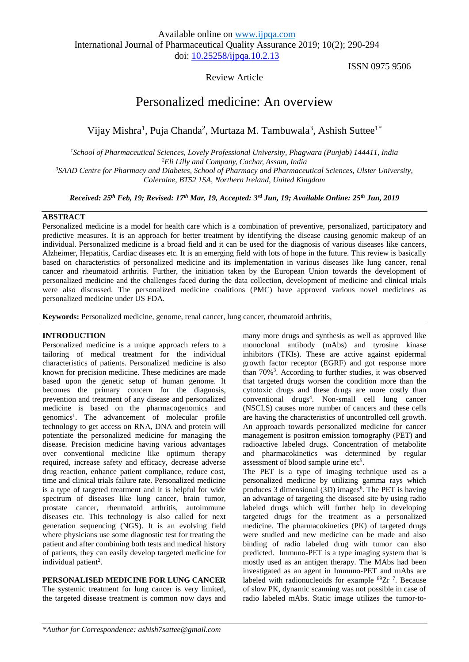# Review Article

ISSN 0975 9506

# Personalized medicine: An overview

Vijay Mishra<sup>1</sup>, Puja Chanda<sup>2</sup>, Murtaza M. Tambuwala<sup>3</sup>, Ashish Suttee<sup>1\*</sup>

*<sup>1</sup>School of Pharmaceutical Sciences, Lovely Professional University, Phagwara (Punjab) 144411, India <sup>2</sup>Eli Lilly and Company, Cachar, Assam, India <sup>3</sup>SAAD Centre for Pharmacy and Diabetes, School of Pharmacy and Pharmaceutical Sciences, Ulster University,* 

*Coleraine, BT52 1SA, Northern Ireland, United Kingdom*

*Received: 25th Feb, 19; Revised: 17th Mar, 19, Accepted: 3 rd Jun, 19; Available Online: 25th Jun, 2019*

#### **ABSTRACT**

Personalized medicine is a model for health care which is a combination of preventive, personalized, participatory and predictive measures. It is an approach for better treatment by identifying the disease causing genomic makeup of an individual. Personalized medicine is a broad field and it can be used for the diagnosis of various diseases like cancers, Alzheimer, Hepatitis, Cardiac diseases etc. It is an emerging field with lots of hope in the future. This review is basically based on characteristics of personalized medicine and its implementation in various diseases like lung cancer, renal cancer and rheumatoid arthritis. Further, the initiation taken by the European Union towards the development of personalized medicine and the challenges faced during the data collection, development of medicine and clinical trials were also discussed. The personalized medicine coalitions (PMC) have approved various novel medicines as personalized medicine under US FDA.

**Keywords:** Personalized medicine, genome, renal cancer, lung cancer, rheumatoid arthritis,

#### **INTRODUCTION**

Personalized medicine is a unique approach refers to a tailoring of medical treatment for the individual characteristics of patients. Personalized medicine is also known for precision medicine. These medicines are made based upon the genetic setup of human genome. It becomes the primary concern for the diagnosis, prevention and treatment of any disease and personalized medicine is based on the pharmacogenomics and genomics<sup>1</sup>. The advancement of molecular profile technology to get access on RNA, DNA and protein will potentiate the personalized medicine for managing the disease. Precision medicine having various advantages over conventional medicine like optimum therapy required, increase safety and efficacy, decrease adverse drug reaction, enhance patient compliance, reduce cost, time and clinical trials failure rate. Personalized medicine is a type of targeted treatment and it is helpful for wide spectrum of diseases like lung cancer, brain tumor, prostate cancer, rheumatoid arthritis, autoimmune diseases etc. This technology is also called for next generation sequencing (NGS). It is an evolving field where physicians use some diagnostic test for treating the patient and after combining both tests and medical history of patients, they can easily develop targeted medicine for individual patient<sup>2</sup>.

**PERSONALISED MEDICINE FOR LUNG CANCER**

The systemic treatment for lung cancer is very limited, the targeted disease treatment is common now days and many more drugs and synthesis as well as approved like monoclonal antibody (mAbs) and tyrosine kinase inhibitors (TKIs). These are active against epidermal growth factor receptor (EGRF) and got response more than 70%<sup>3</sup> . According to further studies, it was observed that targeted drugs worsen the condition more than the cytotoxic drugs and these drugs are more costly than conventional drugs<sup>4</sup> . Non-small cell lung cancer (NSCLS) causes more number of cancers and these cells are having the characteristics of uncontrolled cell growth. An approach towards personalized medicine for cancer management is positron emission tomography (PET) and radioactive labeled drugs. Concentration of metabolite and pharmacokinetics was determined by regular assessment of blood sample urine etc<sup>5</sup>.

The PET is a type of imaging technique used as a personalized medicine by utilizing gamma rays which produces 3 dimensional (3D) images<sup>6</sup>. The PET is having an advantage of targeting the diseased site by using radio labeled drugs which will further help in developing targeted drugs for the treatment as a personalized medicine. The pharmacokinetics (PK) of targeted drugs were studied and new medicine can be made and also binding of radio labeled drug with tumor can also predicted. Immuno-PET is a type imaging system that is mostly used as an antigen therapy. The MAbs had been investigated as an agent in Immuno-PET and mAbs are labeled with radionucleoids for example  ${}^{89}Zr$ <sup>7</sup>. Because of slow PK, dynamic scanning was not possible in case of radio labeled mAbs. Static image utilizes the tumor-to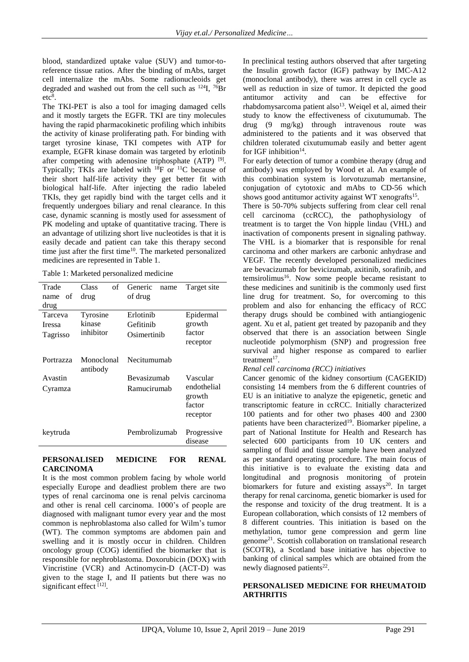blood, standardized uptake value (SUV) and tumor-toreference tissue ratios. After the binding of mAbs, target cell internalize the mAbs. Some radionucleoids get degraded and washed out from the cell such as <sup>124</sup>I, <sup>76</sup>Br  $etc<sup>8</sup>$ .

The TKI-PET is also a tool for imaging damaged cells and it mostly targets the EGFR. TKI are tiny molecules having the rapid pharmacokinetic profiling which inhibits the activity of kinase proliferating path. For binding with target tyrosine kinase, TKI competes with ATP for example, EGFR kinase domain was targeted by erlotinib after competing with adenosine triphosphate  $(ATP)$ <sup>[9]</sup>. Typically: TKIs are labeled with  $^{18}$ F or  $^{11}$ C because of their short half-life activity they get better fit with biological half-life. After injecting the radio labeled TKIs, they get rapidly bind with the target cells and it frequently undergoes biliary and renal clearance. In this case, dynamic scanning is mostly used for assessment of PK modeling and uptake of quantitative tracing. There is an advantage of utilizing short live nucleotides is that it is easily decade and patient can take this therapy second time just after the first time<sup>10</sup>. The marketed personalized medicines are represented in Table 1.

Table 1: Marketed personalized medicine

| Trade<br>name of<br>drug             | Class<br>of<br>drug             | Generic<br>name<br>of drug            | Target site                                             |
|--------------------------------------|---------------------------------|---------------------------------------|---------------------------------------------------------|
| Tarceva<br><b>Iressa</b><br>Tagrisso | Tyrosine<br>kinase<br>inhibitor | Erlotinib<br>Gefitinib<br>Osimertinih | Epidermal<br>growth<br>factor<br>receptor               |
| Portrazza                            | Monoclonal<br>antibody          | Necitumumab                           |                                                         |
| Avastin<br>Cyramza                   |                                 | Bevasizumab<br>Ramucirumab            | Vascular<br>endothelial<br>growth<br>factor<br>receptor |
| keytruda                             |                                 | Pembrolizumab                         | Progressive<br>disease                                  |

#### **PERSONALISED MEDICINE FOR RENAL CARCINOMA**

It is the most common problem facing by whole world especially Europe and deadliest problem there are two types of renal carcinoma one is renal pelvis carcinoma and other is renal cell carcinoma. 1000's of people are diagnosed with malignant tumor every year and the most common is nephroblastoma also called for Wilm's tumor (WT). The common symptoms are abdomen pain and swelling and it is mostly occur in children. Children oncology group (COG) identified the biomarker that is responsible for nephroblastoma. Doxorubicin (DOX) with Vincristine (VCR) and Actinomycin-D (ACT-D) was given to the stage I, and II patients but there was no significant effect [12].

In preclinical testing authors observed that after targeting the Insulin growth factor (IGF) pathway by IMC-A12 (monoclonal antibody), there was arrest in cell cycle as well as reduction in size of tumor. It depicted the good antitumor activity and can be effective for rhabdomysarcoma patient also<sup>13</sup>. Weiqel et al, aimed their study to know the effectiveness of cixutumumab. The drug (9 mg/kg) through intravenous route was administered to the patients and it was observed that children tolerated cixutumumab easily and better agent for IGF inhibition $14$ .

For early detection of tumor a combine therapy (drug and antibody) was employed by Wood et al. An example of this combination system is lorvotuzumab mertansine, conjugation of cytotoxic and mAbs to CD-56 which shows good antitumor activity against WT xenografts<sup>15</sup>.

There is 50-70% subjects suffering from clear cell renal cell carcinoma (ccRCC), the pathophysiology of treatment is to target the Von hipple lindau (VHL) and inactivation of components present in signaling pathway. The VHL is a biomarker that is responsible for renal carcinoma and other markers are carbonic anhydrase and VEGF. The recently developed personalized medicines are bevacizumab for bevicizumab, axitinib, sorafinib, and temsirolimus<sup>16</sup>. Now some people became resistant to these medicines and sunitinib is the commonly used first line drug for treatment. So, for overcoming to this problem and also for enhancing the efficacy of RCC therapy drugs should be combined with antiangiogenic agent. Xu et al, patient get treated by pazopanib and they observed that there is an association between Single nucleotide polymorphism (SNP) and progression free survival and higher response as compared to earlier treatment<sup>17</sup>.

#### *Renal cell carcinoma (RCC) initiatives*

Cancer genomic of the kidney consortium (CAGEKID) consisting 14 members from the 6 different countries of EU is an initiative to analyze the epigenetic, genetic and transcriptomic feature in ccRCC. Initially characterized 100 patients and for other two phases 400 and 2300 patients have been characterized<sup>19</sup>. Biomarker pipeline, a part of National Institute for Health and Research has selected 600 participants from 10 UK centers and sampling of fluid and tissue sample have been analyzed as per standard operating procedure. The main focus of this initiative is to evaluate the existing data and longitudinal and prognosis monitoring of protein biomarkers for future and existing assays<sup>20</sup>. In target therapy for renal carcinoma, genetic biomarker is used for the response and toxicity of the drug treatment. It is a European collaboration, which consists of 12 members of 8 different countries. This initiation is based on the methylation, tumor gene compression and germ line genome<sup>21</sup>. Scottish collaboration on translational research (SCOTR), a Scotland base initiative has objective to banking of clinical samples which are obtained from the newly diagnosed patients 22 .

### **PERSONALISED MEDICINE FOR RHEUMATOID ARTHRITIS**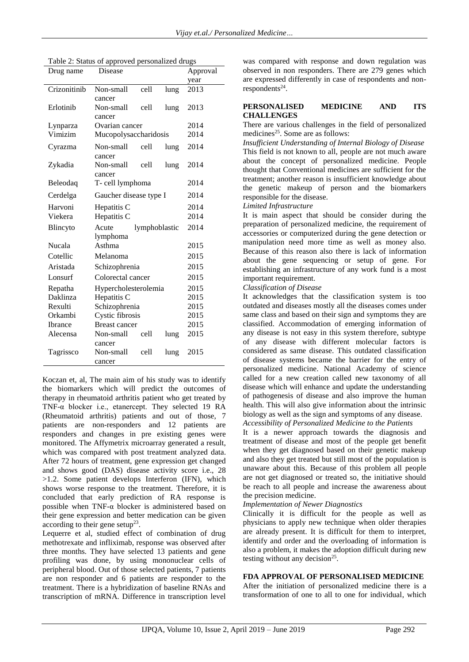| Disease<br>Drug name |                        |               | Approval |      |  |
|----------------------|------------------------|---------------|----------|------|--|
|                      |                        |               |          | year |  |
| Crizonitinib         | Non-small              | cell          | lung     | 2013 |  |
|                      | cancer                 |               |          |      |  |
| Erlotinib            | Non-small              | cell          | lung     | 2013 |  |
|                      | cancer                 |               |          |      |  |
| Lynparza             | Ovarian cancer         | 2014          |          |      |  |
| Vimizim              | Mucopolysaccharidosis  | 2014          |          |      |  |
| Cyrazma              | Non-small              | cell          | lung     | 2014 |  |
|                      | cancer                 |               |          |      |  |
| Zykadia              | Non-small              | cell          | lung     | 2014 |  |
|                      | cancer                 |               |          |      |  |
| Beleodaq             | T- cell lymphoma       | 2014          |          |      |  |
| Cerdelga             | Gaucher disease type I | 2014          |          |      |  |
| Harvoni              | Hepatitis C            |               |          | 2014 |  |
| Viekera              | Hepatitis C            |               |          | 2014 |  |
| Blincyto             | Acute                  | lymphoblastic |          | 2014 |  |
|                      | lymphoma               |               |          |      |  |
| Nucala               | Asthma                 | 2015          |          |      |  |
| Cotellic             | Melanoma               | 2015          |          |      |  |
| Aristada             | Schizophrenia          | 2015          |          |      |  |
| Lonsurf              | Colorectal cancer      | 2015          |          |      |  |
| Repatha              | Hypercholesterolemia   | 2015          |          |      |  |
| Daklinza             | Hepatitis C            | 2015          |          |      |  |
| Rexulti              | Schizophrenia          | 2015          |          |      |  |
| Orkambi              | Cystic fibrosis        |               |          |      |  |
| <b>Ibrance</b>       | <b>Breast cancer</b>   | 2015          |          |      |  |
| Alecensa             | Non-small              | cell          | lung     | 2015 |  |
|                      | cancer                 |               |          |      |  |
| Tagrissco            | Non-small              | cell          | lung     | 2015 |  |
|                      | cancer                 |               |          |      |  |

Table 2: Status of approved personalized drugs

Koczan et, al, The main aim of his study was to identify the biomarkers which will predict the outcomes of therapy in rheumatoid arthritis patient who get treated by TNF-α blocker i.e., etanercept. They selected 19 RA (Rheumatoid arthritis) patients and out of those, 7 patients are non-responders and 12 patients are responders and changes in pre existing genes were monitored. The Affymetrix microarray generated a result, which was compared with post treatment analyzed data. After 72 hours of treatment, gene expression get changed and shows good (DAS) disease activity score i.e., 28 >1.2. Some patient develops Interferon (IFN), which shows worse response to the treatment. Therefore, it is concluded that early prediction of RA response is possible when TNF- $\alpha$  blocker is administered based on their gene expression and better medication can be given according to their gene setup<sup>23</sup>.

Lequerre et al, studied effect of combination of drug methotrexate and infliximab, response was observed after three months. They have selected 13 patients and gene profiling was done, by using mononuclear cells of peripheral blood. Out of those selected patients, 7 patients are non responder and 6 patients are responder to the treatment. There is a hybridization of baseline RNAs and transcription of mRNA. Difference in transcription level

was compared with response and down regulation was observed in non responders. There are 279 genes which are expressed differently in case of respondents and nonrespondents<sup>24</sup>.

#### **PERSONALISED MEDICINE AND ITS CHALLENGES**

There are various challenges in the field of personalized medicines<sup>25</sup>. Some are as follows:

*Insufficient Understanding of Internal Biology of Disease*  This field is not known to all, people are not much aware about the concept of personalized medicine. People thought that Conventional medicines are sufficient for the treatment; another reason is insufficient knowledge about the genetic makeup of person and the biomarkers responsible for the disease.

*Limited Infrastructure*

It is main aspect that should be consider during the preparation of personalized medicine, the requirement of accessories or computerized during the gene detection or manipulation need more time as well as money also. Because of this reason also there is lack of information about the gene sequencing or setup of gene. For establishing an infrastructure of any work fund is a most important requirement.

# *Classification of Disease*

It acknowledges that the classification system is too outdated and diseases mostly all the diseases comes under same class and based on their sign and symptoms they are classified. Accommodation of emerging information of any disease is not easy in this system therefore, subtype of any disease with different molecular factors is considered as same disease. This outdated classification of disease systems became the barrier for the entry of personalized medicine. National Academy of science called for a new creation called new taxonomy of all disease which will enhance and update the understanding of pathogenesis of disease and also improve the human health. This will also give information about the intrinsic biology as well as the sign and symptoms of any disease. *Accessibility of Personalized Medicine to the Patients*

It is a newer approach towards the diagnosis and treatment of disease and most of the people get benefit when they get diagnosed based on their genetic makeup and also they get treated but still most of the population is unaware about this. Because of this problem all people are not get diagnosed or treated so, the initiative should be reach to all people and increase the awareness about the precision medicine.

#### *Implementation of Newer Diagnostics*

Clinically it is difficult for the people as well as physicians to apply new technique when older therapies are already present. It is difficult for them to interpret, identify and order and the overloading of information is also a problem, it makes the adoption difficult during new testing without any decision<sup>25</sup>.

# **FDA APPROVAL OF PERSONALISED MEDICINE**

After the initiation of personalized medicine there is a transformation of one to all to one for individual, which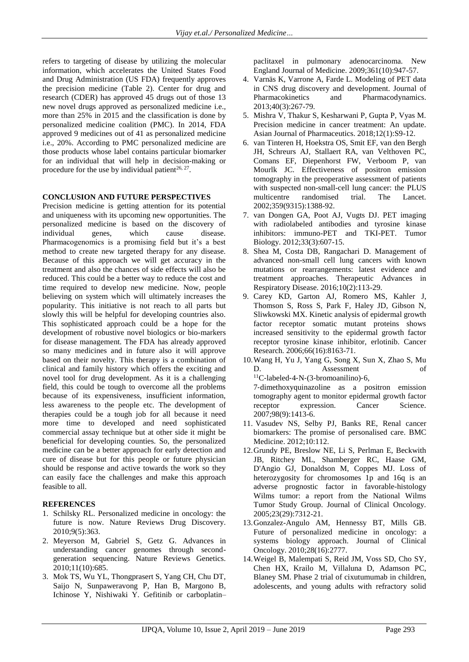refers to targeting of disease by utilizing the molecular information, which accelerates the United States Food and Drug Administration (US FDA) frequently approves the precision medicine (Table 2). Center for drug and research (CDER) has approved 45 drugs out of those 13 new novel drugs approved as personalized medicine i.e., more than 25% in 2015 and the classification is done by personalized medicine coalition (PMC). In 2014, FDA approved 9 medicines out of 41 as personalized medicine i.e., 20%. According to PMC personalized medicine are those products whose label contains particular biomarker for an individual that will help in decision-making or procedure for the use by individual patient<sup>26, 27</sup>.

#### **CONCLUSION AND FUTURE PERSPECTIVES**

Precision medicine is getting attention for its potential and uniqueness with its upcoming new opportunities. The personalized medicine is based on the discovery of individual genes, which cause disease. Pharmacogenomics is a promising field but it's a best method to create new targeted therapy for any disease. Because of this approach we will get accuracy in the treatment and also the chances of side effects will also be reduced. This could be a better way to reduce the cost and time required to develop new medicine. Now, people believing on system which will ultimately increases the popularity. This initiative is not reach to all parts but slowly this will be helpful for developing countries also. This sophisticated approach could be a hope for the development of robustive novel biologics or bio-markers for disease management. The FDA has already approved so many medicines and in future also it will approve based on their novelty. This therapy is a combination of clinical and family history which offers the exciting and novel tool for drug development. As it is a challenging field, this could be tough to overcome all the problems because of its expensiveness, insufficient information, less awareness to the people etc. The development of therapies could be a tough job for all because it need more time to developed and need sophisticated commercial assay technique but at other side it might be beneficial for developing counties. So, the personalized medicine can be a better approach for early detection and cure of disease but for this people or future physician should be response and active towards the work so they can easily face the challenges and make this approach feasible to all.

# **REFERENCES**

- 1. Schilsky RL. Personalized medicine in oncology: the future is now. Nature Reviews Drug Discovery. 2010;9(5):363.
- 2. Meyerson M, Gabriel S, Getz G. Advances in understanding cancer genomes through secondgeneration sequencing. Nature Reviews Genetics. 2010;11(10):685.
- 3. Mok TS, Wu YL, Thongprasert S, Yang CH, Chu DT, Saijo N, Sunpaweravong P, Han B, Margono B, Ichinose Y, Nishiwaki Y. Gefitinib or carboplatin–

paclitaxel in pulmonary adenocarcinoma. New England Journal of Medicine. 2009;361(10):947-57.

- 4. Varnäs K, Varrone A, Farde L. Modeling of PET data in CNS drug discovery and development. Journal of Pharmacokinetics and Pharmacodynamics. 2013;40(3):267-79.
- 5. Mishra V, Thakur S, Kesharwani P, Gupta P, Vyas M. Precision medicine in cancer treatment: An update. Asian Journal of Pharmaceutics. 2018;12(1):S9-12.
- 6. van Tinteren H, Hoekstra OS, Smit EF, van den Bergh JH, Schreurs AJ, Stallaert RA, van Velthoven PC, Comans EF, Diepenhorst FW, Verboom P, van Mourlk JC. Effectiveness of positron emission tomography in the preoperative assessment of patients with suspected non-small-cell lung cancer: the PLUS multicentre randomised trial. The Lancet. 2002;359(9315):1388-92.
- 7. van Dongen GA, Poot AJ, Vugts DJ. PET imaging with radiolabeled antibodies and tyrosine kinase inhibitors: immuno-PET and TKI-PET. Tumor Biology. 2012;33(3):607-15.
- 8. Shea M, Costa DB, Rangachari D. Management of advanced non-small cell lung cancers with known mutations or rearrangements: latest evidence and treatment approaches. Therapeutic Advances in Respiratory Disease. 2016;10(2):113-29.
- 9. Carey KD, Garton AJ, Romero MS, Kahler J, Thomson S, Ross S, Park F, Haley JD, Gibson N, Sliwkowski MX. Kinetic analysis of epidermal growth factor receptor somatic mutant proteins shows increased sensitivity to the epidermal growth factor receptor tyrosine kinase inhibitor, erlotinib. Cancer Research. 2006;66(16):8163-71.
- 10.Wang H, Yu J, Yang G, Song X, Sun X, Zhao S, Mu D. Assessment of <sup>11</sup>C‐labeled‐4‐N‐(3‐bromoanilino)‐6, 7‐dimethoxyquinazoline as a positron emission tomography agent to monitor epidermal growth factor
- 2007;98(9):1413-6. 11. Vasudev NS, Selby PJ, Banks RE, Renal cancer biomarkers: The promise of personalised care. BMC Medicine. 2012;10:112.

receptor expression. Cancer Science.

- 12.Grundy PE, Breslow NE, Li S, Perlman E, Beckwith JB, Ritchey ML, Shamberger RC, Haase GM, D'Angio GJ, Donaldson M, Coppes MJ. Loss of heterozygosity for chromosomes 1p and 16q is an adverse prognostic factor in favorable-histology Wilms tumor: a report from the National Wilms Tumor Study Group. Journal of Clinical Oncology. 2005;23(29):7312-21.
- 13.Gonzalez-Angulo AM, Hennessy BT, Mills GB. Future of personalized medicine in oncology: a systems biology approach. Journal of Clinical Oncology. 2010;28(16):2777.
- 14.Weigel B, Malempati S, Reid JM, Voss SD, Cho SY, Chen HX, Krailo M, Villaluna D, Adamson PC, Blaney SM. Phase 2 trial of cixutumumab in children, adolescents, and young adults with refractory solid